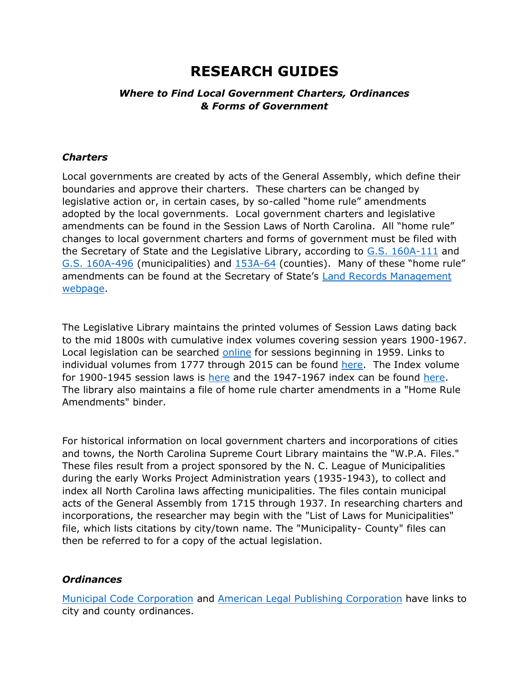# **RESEARCH GUIDES**

### *Where to Find Local Government Charters, Ordinances & Forms of Government*

#### *Charters*

Local governments are created by acts of the General Assembly, which define their boundaries and approve their charters. These charters can be changed by legislative action or, in certain cases, by so-called "home rule" amendments adopted by the local governments. Local government charters and legislative amendments can be found in the Session Laws of North Carolina. All "home rule" changes to local government charters and forms of government must be filed with the Secretary of State and the Legislative Library, according to [G.S. 160A-111](https://www.ncleg.gov/EnactedLegislation/Statutes/PDF/BySection/Chapter_160A/GS_160A-111.pdf) and [G.S. 160A-496](https://www.ncleg.gov/EnactedLegislation/Statutes/PDF/BySection/Chapter_160A/GS_160A-496.pdf) (municipalities) and [153A-64](https://www.ncleg.gov/EnactedLegislation/Statutes/PDF/BySection/Chapter_153A/GS_153A-64.pdf) (counties). Many of these "home rule" amendments can be found at the Secretary of State's [Land Records Management](https://www.sosnc.gov/divisions/land_records)  [webpage.](https://www.sosnc.gov/divisions/land_records)

The Legislative Library maintains the printed volumes of Session Laws dating back to the mid 1800s with cumulative index volumes covering session years 1900-1967. Local legislation can be searched [online](https://www.ncleg.gov/Laws/SessionLaws) for sessions beginning in 1959. Links to individual volumes from 1777 through 2015 can be found [here.](https://www.ncleg.gov/Documents/1#Session%20Laws%20(1777-2015)%20Digitized%20(Please%20allow%20a%20few%20moments%20for%20volumes%20to%20load)) The Index volume for 1900-1945 session laws is [here](http://ncleg.gov/Files/Library/sessionlaws/pubs_publiclawsindex1900-1945.pdf) and the 1947-1967 index can be found [here.](https://ncleg.gov/Files/Library/sessionlaws/pubs_publiclawsindex1947-1967.pdf) The library also maintains a file of home rule charter amendments in a "Home Rule Amendments" binder.

For historical information on local government charters and incorporations of cities and towns, the North Carolina Supreme Court Library maintains the "W.P.A. Files." These files result from a project sponsored by the N. C. League of Municipalities during the early Works Project Administration years (1935-1943), to collect and index all North Carolina laws affecting municipalities. The files contain municipal acts of the General Assembly from 1715 through 1937. In researching charters and incorporations, the researcher may begin with the "List of Laws for Municipalities" file, which lists citations by city/town name. The "Municipality- County" files can then be referred to for a copy of the actual legislation.

#### *Ordinances*

[Municipal Code Corporation](https://library.municode.com/NC) and [American Legal Publishing Corporation](http://www.amlegal.com/code-library/) have links to city and county ordinances.